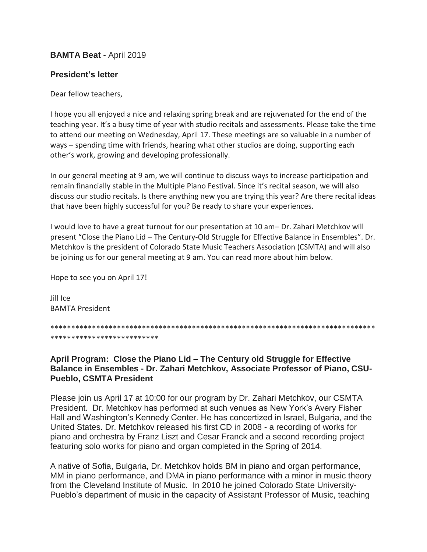## **BAMTA Beat** - April 2019

## **President's letter**

Dear fellow teachers,

I hope you all enjoyed a nice and relaxing spring break and are rejuvenated for the end of the teaching year. It's a busy time of year with studio recitals and assessments. Please take the time to attend our meeting on Wednesday, April 17. These meetings are so valuable in a number of ways – spending time with friends, hearing what other studios are doing, supporting each other's work, growing and developing professionally.

In our general meeting at 9 am, we will continue to discuss ways to increase participation and remain financially stable in the Multiple Piano Festival. Since it's recital season, we will also discuss our studio recitals. Is there anything new you are trying this year? Are there recital ideas that have been highly successful for you? Be ready to share your experiences.

I would love to have a great turnout for our presentation at 10 am– Dr. Zahari Metchkov will present "Close the Piano Lid – The Century-Old Struggle for Effective Balance in Ensembles". Dr. Metchkov is the president of Colorado State Music Teachers Association (CSMTA) and will also be joining us for our general meeting at 9 am. You can read more about him below.

Hope to see you on April 17!

Jill Ice BAMTA President

\*\*\*\*\*\*\*\*\*\*\*\*\*\*\*\*\*\*\*\*\*\*\*\*\*\*\*\*\*\*\*\*\*\*\*\*\*\*\*\*\*\*\*\*\*\*\*\*\*\*\*\*\*\*\*\*\*\*\*\*\*\*\*\*\*\*\*\*\*\*\*\*\*\*\*\*\*\* \*\*\*\*\*\*\*\*\*\*\*\*\*\*\*\*\*\*\*\*\*\*\*\*\*\*

**April Program: Close the Piano Lid – The Century old Struggle for Effective Balance in Ensembles - Dr. Zahari Metchkov, Associate Professor of Piano, CSU-Pueblo, CSMTA President**

Please join us April 17 at 10:00 for our program by Dr. Zahari Metchkov, our CSMTA President. Dr. Metchkov has performed at such venues as New York's Avery Fisher Hall and Washington's Kennedy Center. He has concertized in Israel, Bulgaria, and the United States. Dr. Metchkov released his first CD in 2008 - a recording of works for piano and orchestra by Franz Liszt and Cesar Franck and a second recording project featuring solo works for piano and organ completed in the Spring of 2014.

A native of Sofia, Bulgaria, Dr. Metchkov holds BM in piano and organ performance, MM in piano performance, and DMA in piano performance with a minor in music theory from the Cleveland Institute of Music. In 2010 he joined Colorado State University-Pueblo's department of music in the capacity of Assistant Professor of Music, teaching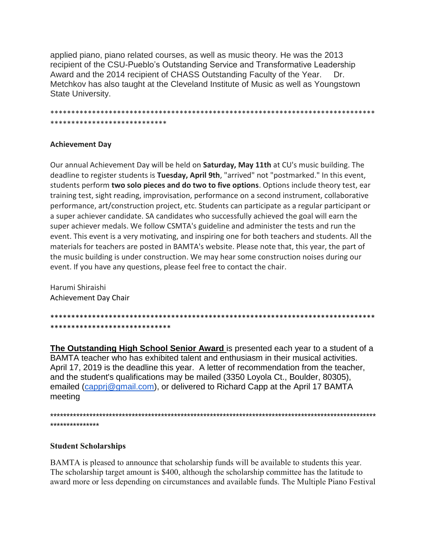applied piano, piano related courses, as well as music theory. He was the 2013 recipient of the CSU-Pueblo's Outstanding Service and Transformative Leadership Award and the 2014 recipient of CHASS Outstanding Faculty of the Year. Dr. Metchkov has also taught at the Cleveland Institute of Music as well as Youngstown State University.

\*\*\*\*\*\*\*\*\*\*\*\*\*\*\*\*\*\*\*\*\*\*\*\*\*\*\*\*

#### **Achievement Day**

Our annual Achievement Day will be held on **Saturday, May 11th** at CU's music building. The deadline to register students is Tuesday, April 9th, "arrived" not "postmarked." In this event, students perform two solo pieces and do two to five options. Options include theory test, ear training test, sight reading, improvisation, performance on a second instrument, collaborative performance, art/construction project, etc. Students can participate as a regular participant or a super achiever candidate. SA candidates who successfully achieved the goal will earn the super achiever medals. We follow CSMTA's guideline and administer the tests and run the event. This event is a very motivating, and inspiring one for both teachers and students. All the materials for teachers are posted in BAMTA's website. Please note that, this year, the part of the music building is under construction. We may hear some construction noises during our event. If you have any questions, please feel free to contact the chair.

Harumi Shiraishi Achievement Day Chair

\*\*\*\*\*\*\*\*\*\*\*\*\*\*\*\*\*\*\*\*\*\*\*\*\*\*\*\*\*

The Outstanding High School Senior Award is presented each year to a student of a BAMTA teacher who has exhibited talent and enthusiasm in their musical activities. April 17, 2019 is the deadline this year. A letter of recommendation from the teacher, and the student's qualifications may be mailed (3350 Loyola Ct., Boulder, 80305), emailed (cappri@gmail.com), or delivered to Richard Capp at the April 17 BAMTA meeting

\*\*\*\*\*\*\*\*\*\*\*\*\*\*\*

### **Student Scholarships**

BAMTA is pleased to announce that scholarship funds will be available to students this year. The scholarship target amount is \$400, although the scholarship committee has the latitude to award more or less depending on circumstances and available funds. The Multiple Piano Festival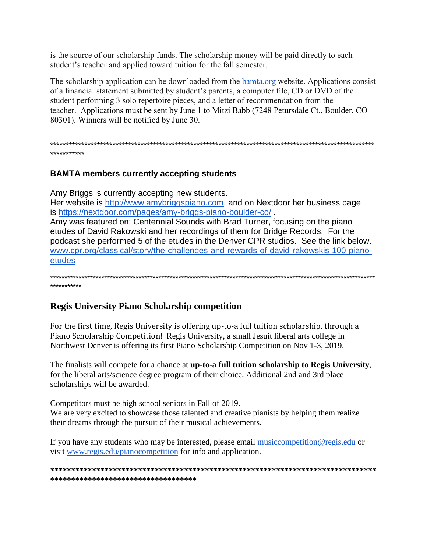is the source of our scholarship funds. The scholarship money will be paid directly to each student's teacher and applied toward tuition for the fall semester.

The scholarship application can be downloaded from the bamta.org website. Applications consist of a financial statement submitted by student's parents, a computer file, CD or DVD of the student performing 3 solo repertoire pieces, and a letter of recommendation from the teacher. Applications must be sent by June 1 to Mitzi Babb (7248 Petursdale Ct., Boulder, CO 80301). Winners will be notified by June 30.

## **BAMTA members currently accepting students**

Amy Briggs is currently accepting new students.

Her website is http://www.amybriggspiano.com, and on Nextdoor her business page is https://nextdoor.com/pages/amy-briggs-piano-boulder-co/.

Amy was featured on: Centennial Sounds with Brad Turner, focusing on the piano etudes of David Rakowski and her recordings of them for Bridge Records. For the podcast she performed 5 of the etudes in the Denver CPR studios. See the link below. www.cpr.org/classical/story/the-challenges-and-rewards-of-david-rakowskis-100-pianoetudes

# **Regis University Piano Scholarship competition**

For the first time, Regis University is offering up-to-a full tuition scholarship, through a Piano Scholarship Competition! Regis University, a small Jesuit liberal arts college in Northwest Denver is offering its first Piano Scholarship Competition on Nov 1-3, 2019.

The finalists will compete for a chance at up-to-a full tuition scholarship to Regis University, for the liberal arts/science degree program of their choice. Additional 2nd and 3rd place scholarships will be awarded.

Competitors must be high school seniors in Fall of 2019.

We are very excited to showcase those talented and creative pianists by helping them realize their dreams through the pursuit of their musical achievements.

If you have any students who may be interested, please email music competition@regis.edu or visit www.regis.edu/pianocompetition for info and application.

\*\*\*\*\*\*\*\*\*\*\*\*\*\*\*\*\*\*\*\*\*\*\*\*\*\*\*\*\*\*\*\*\*\*\*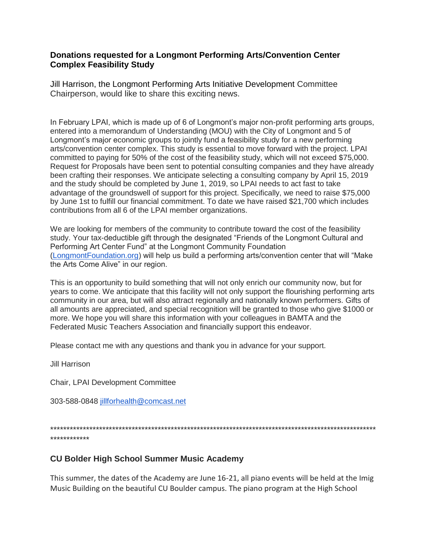#### **Donations requested for a Longmont Performing Arts/Convention Center Complex Feasibility Study**

Jill Harrison, the Longmont Performing Arts Initiative Development Committee Chairperson, would like to share this exciting news.

In February LPAI, which is made up of 6 of Longmont's major non-profit performing arts groups, entered into a memorandum of Understanding (MOU) with the City of Longmont and 5 of Longmont's major economic groups to jointly fund a feasibility study for a new performing arts/convention center complex. This study is essential to move forward with the project. LPAI committed to paying for 50% of the cost of the feasibility study, which will not exceed \$75,000. Request for Proposals have been sent to potential consulting companies and they have already been crafting their responses. We anticipate selecting a consulting company by April 15, 2019 and the study should be completed by June 1, 2019, so LPAI needs to act fast to take advantage of the groundswell of support for this project. Specifically, we need to raise \$75,000 by June 1st to fulfill our financial commitment. To date we have raised \$21,700 which includes contributions from all 6 of the LPAI member organizations.

We are looking for members of the community to contribute toward the cost of the feasibility study. Your tax-deductible gift through the designated "Friends of the Longmont Cultural and Performing Art Center Fund" at the Longmont Community Foundation [\(LongmontFoundation.org\)](http://longmontfoundation.org/) will help us build a performing arts/convention center that will "Make the Arts Come Alive" in our region.

This is an opportunity to build something that will not only enrich our community now, but for years to come. We anticipate that this facility will not only support the flourishing performing arts community in our area, but will also attract regionally and nationally known performers. Gifts of all amounts are appreciated, and special recognition will be granted to those who give \$1000 or more. We hope you will share this information with your colleagues in BAMTA and the Federated Music Teachers Association and financially support this endeavor.

Please contact me with any questions and thank you in advance for your support.

Jill Harrison

Chair, LPAI Development Committee

303-588-0848 [jillforhealth@comcast.net](mailto:jillforhealth@comcast.net)

\*\*\*\*\*\*\*\*\*\*\*\*\*\*\*\*\*\*\*\*\*\*\*\*\*\*\*\*\*\*\*\*\*\*\*\*\*\*\*\*\*\*\*\*\*\*\*\*\*\*\*\*\*\*\*\*\*\*\*\*\*\*\*\*\*\*\*\*\*\*\*\*\*\*\*\*\*\*\*\*\*\*\*\*\*\*\*\*\*\*\*\*\*\*\*\*\*\*\*\* \*\*\*\*\*\*\*\*\*\*\*\*

### **CU Bolder High School Summer Music Academy**

This summer, the dates of the Academy are June 16-21, all piano events will be held at the Imig Music Building on the beautiful CU Boulder campus. The piano program at the High School